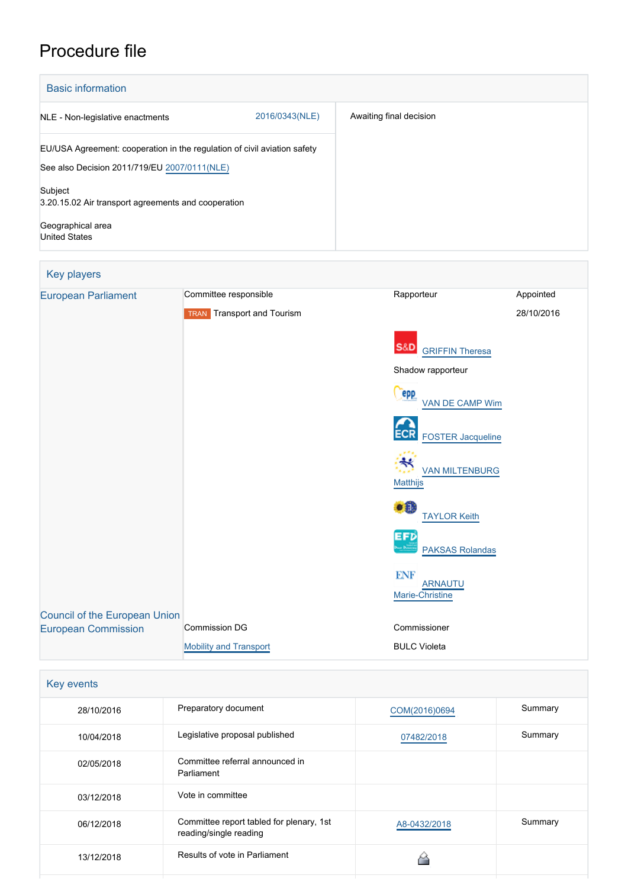# Procedure file

| <b>Basic information</b>                                                                                                 |                |                         |
|--------------------------------------------------------------------------------------------------------------------------|----------------|-------------------------|
| NLE - Non-legislative enactments                                                                                         | 2016/0343(NLE) | Awaiting final decision |
| EU/USA Agreement: cooperation in the regulation of civil aviation safety<br>See also Decision 2011/719/EU 2007/0111(NLE) |                |                         |
| Subject<br>3.20.15.02 Air transport agreements and cooperation                                                           |                |                         |
| Geographical area<br><b>United States</b>                                                                                |                |                         |

| Key players                                                        |                                   |                                                 |            |
|--------------------------------------------------------------------|-----------------------------------|-------------------------------------------------|------------|
| <b>European Parliament</b>                                         | Committee responsible             | Rapporteur                                      |            |
|                                                                    | <b>TRAN</b> Transport and Tourism |                                                 | 28/10/2016 |
|                                                                    |                                   | <b>S&amp;D</b><br><b>GRIFFIN Theresa</b>        |            |
|                                                                    |                                   | Shadow rapporteur                               |            |
|                                                                    |                                   | <b>epp</b><br>VAN DE CAMP Wim                   |            |
|                                                                    |                                   | <b>FOSTER Jacqueline</b>                        |            |
|                                                                    |                                   | ₩<br><b>VAN MILTENBURG</b><br>Matthijs          |            |
|                                                                    |                                   | $\bullet$<br><b>TAYLOR Keith</b>                |            |
|                                                                    |                                   | EFD<br><b>PAKSAS Rolandas</b>                   |            |
|                                                                    |                                   | <b>ENF</b><br><b>ARNAUTU</b><br>Marie-Christine |            |
|                                                                    |                                   |                                                 |            |
| <b>Council of the European Union</b><br><b>European Commission</b> | <b>Commission DG</b>              | Commissioner                                    |            |
|                                                                    | <b>Mobility and Transport</b>     | <b>BULC Violeta</b>                             |            |

| Key events |                                                                    |               |         |  |
|------------|--------------------------------------------------------------------|---------------|---------|--|
| 28/10/2016 | Preparatory document                                               | COM(2016)0694 | Summary |  |
| 10/04/2018 | Legislative proposal published                                     | 07482/2018    | Summary |  |
| 02/05/2018 | Committee referral announced in<br>Parliament                      |               |         |  |
| 03/12/2018 | Vote in committee                                                  |               |         |  |
| 06/12/2018 | Committee report tabled for plenary, 1st<br>reading/single reading | A8-0432/2018  | Summary |  |
| 13/12/2018 | Results of vote in Parliament                                      |               |         |  |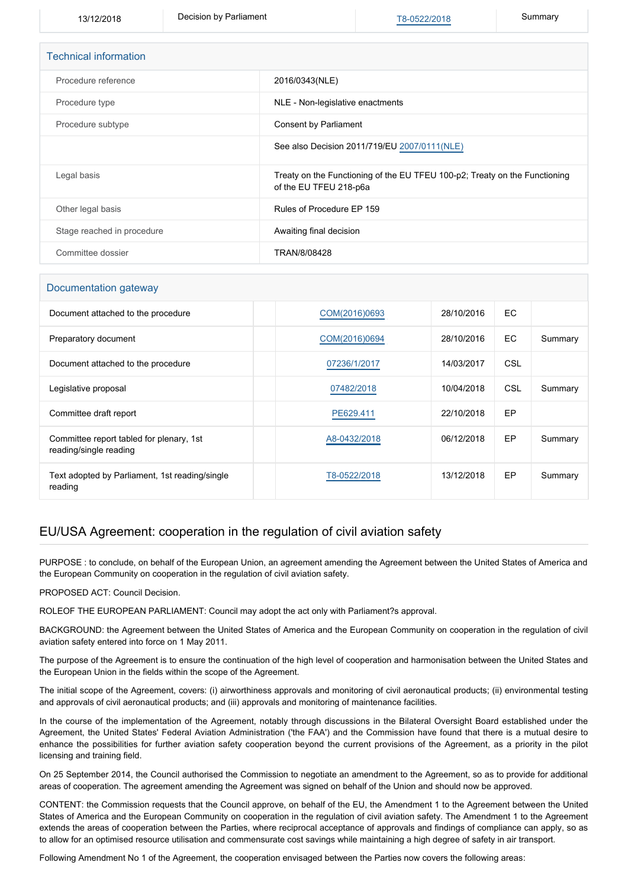13/12/2018 Decision by Parliament [T8-0522/2018](https://www.europarl.europa.eu/doceo/document/TA-8-2018-0522_EN.html) Summary

| <b>Technical information</b> |                                                                                                      |  |  |
|------------------------------|------------------------------------------------------------------------------------------------------|--|--|
| Procedure reference          | 2016/0343(NLE)                                                                                       |  |  |
| Procedure type               | NLE - Non-legislative enactments                                                                     |  |  |
| Procedure subtype            | Consent by Parliament                                                                                |  |  |
|                              | See also Decision 2011/719/EU 2007/0111(NLE)                                                         |  |  |
| Legal basis                  | Treaty on the Functioning of the EU TFEU 100-p2; Treaty on the Functioning<br>of the EU TFEU 218-p6a |  |  |
| Other legal basis            | Rules of Procedure EP 159                                                                            |  |  |
| Stage reached in procedure   | Awaiting final decision                                                                              |  |  |
| Committee dossier            | TRAN/8/08428                                                                                         |  |  |

#### Documentation gateway

| Document attached to the procedure                                 | COM(2016)0693 | 28/10/2016 | EC. |         |
|--------------------------------------------------------------------|---------------|------------|-----|---------|
| Preparatory document                                               | COM(2016)0694 | 28/10/2016 | EC. | Summary |
| Document attached to the procedure                                 | 07236/1/2017  | 14/03/2017 | CSL |         |
| Legislative proposal                                               | 07482/2018    | 10/04/2018 | CSL | Summary |
| Committee draft report                                             | PE629.411     | 22/10/2018 | EP  |         |
| Committee report tabled for plenary, 1st<br>reading/single reading | A8-0432/2018  | 06/12/2018 | EP  | Summary |
| Text adopted by Parliament, 1st reading/single<br>reading          | T8-0522/2018  | 13/12/2018 | EP  | Summary |

# EU/USA Agreement: cooperation in the regulation of civil aviation safety

PURPOSE : to conclude, on behalf of the European Union, an agreement amending the Agreement between the United States of America and the European Community on cooperation in the regulation of civil aviation safety.

PROPOSED ACT: Council Decision.

ROLEOF THE EUROPEAN PARLIAMENT: Council may adopt the act only with Parliament?s approval.

BACKGROUND: the Agreement between the United States of America and the European Community on cooperation in the regulation of civil aviation safety entered into force on 1 May 2011.

The purpose of the Agreement is to ensure the continuation of the high level of cooperation and harmonisation between the United States and the European Union in the fields within the scope of the Agreement.

The initial scope of the Agreement, covers: (i) airworthiness approvals and monitoring of civil aeronautical products; (ii) environmental testing and approvals of civil aeronautical products; and (iii) approvals and monitoring of maintenance facilities.

In the course of the implementation of the Agreement, notably through discussions in the Bilateral Oversight Board established under the Agreement, the United States' Federal Aviation Administration ('the FAA') and the Commission have found that there is a mutual desire to enhance the possibilities for further aviation safety cooperation beyond the current provisions of the Agreement, as a priority in the pilot licensing and training field.

On 25 September 2014, the Council authorised the Commission to negotiate an amendment to the Agreement, so as to provide for additional areas of cooperation. The agreement amending the Agreement was signed on behalf of the Union and should now be approved.

CONTENT: the Commission requests that the Council approve, on behalf of the EU, the Amendment 1 to the Agreement between the United States of America and the European Community on cooperation in the regulation of civil aviation safety. The Amendment 1 to the Agreement extends the areas of cooperation between the Parties, where reciprocal acceptance of approvals and findings of compliance can apply, so as to allow for an optimised resource utilisation and commensurate cost savings while maintaining a high degree of safety in air transport.

Following Amendment No 1 of the Agreement, the cooperation envisaged between the Parties now covers the following areas: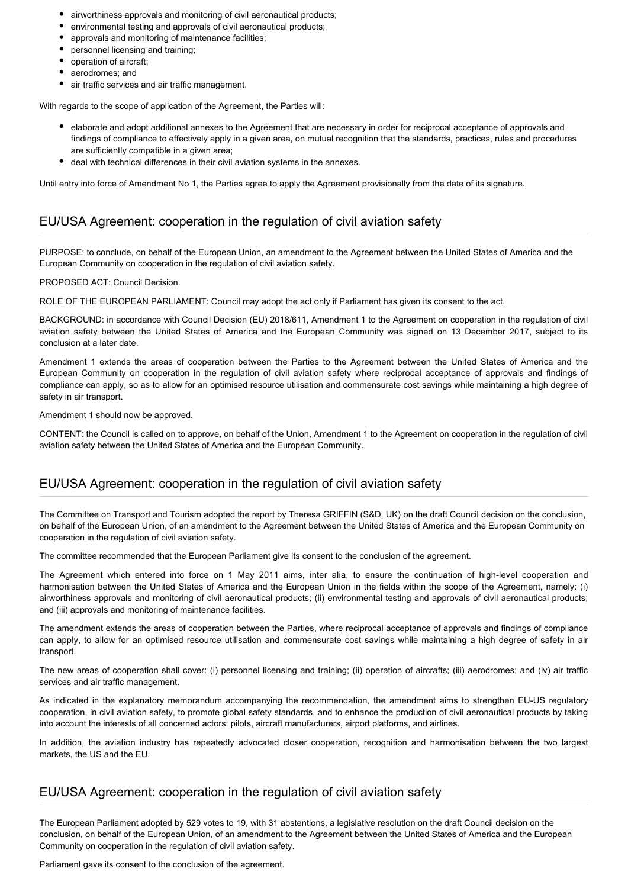- $\bullet$ airworthiness approvals and monitoring of civil aeronautical products;
- environmental testing and approvals of civil aeronautical products;
- approvals and monitoring of maintenance facilities;
- personnel licensing and training;
- operation of aircraft;
- aerodromes; and
- air traffic services and air traffic management.

With regards to the scope of application of the Agreement, the Parties will:

- elaborate and adopt additional annexes to the Agreement that are necessary in order for reciprocal acceptance of approvals and findings of compliance to effectively apply in a given area, on mutual recognition that the standards, practices, rules and procedures are sufficiently compatible in a given area;
- deal with technical differences in their civil aviation systems in the annexes.

Until entry into force of Amendment No 1, the Parties agree to apply the Agreement provisionally from the date of its signature.

# EU/USA Agreement: cooperation in the regulation of civil aviation safety

PURPOSE: to conclude, on behalf of the European Union, an amendment to the Agreement between the United States of America and the European Community on cooperation in the regulation of civil aviation safety.

PROPOSED ACT: Council Decision.

ROLE OF THE EUROPEAN PARLIAMENT: Council may adopt the act only if Parliament has given its consent to the act.

BACKGROUND: in accordance with Council Decision (EU) 2018/611, Amendment 1 to the Agreement on cooperation in the regulation of civil aviation safety between the United States of America and the European Community was signed on 13 December 2017, subject to its conclusion at a later date.

Amendment 1 extends the areas of cooperation between the Parties to the Agreement between the United States of America and the European Community on cooperation in the regulation of civil aviation safety where reciprocal acceptance of approvals and findings of compliance can apply, so as to allow for an optimised resource utilisation and commensurate cost savings while maintaining a high degree of safety in air transport.

Amendment 1 should now be approved.

CONTENT: the Council is called on to approve, on behalf of the Union, Amendment 1 to the Agreement on cooperation in the regulation of civil aviation safety between the United States of America and the European Community.

# EU/USA Agreement: cooperation in the regulation of civil aviation safety

The Committee on Transport and Tourism adopted the report by Theresa GRIFFIN (S&D, UK) on the draft Council decision on the conclusion, on behalf of the European Union, of an amendment to the Agreement between the United States of America and the European Community on cooperation in the regulation of civil aviation safety.

The committee recommended that the European Parliament give its consent to the conclusion of the agreement.

The Agreement which entered into force on 1 May 2011 aims, inter alia, to ensure the continuation of high-level cooperation and harmonisation between the United States of America and the European Union in the fields within the scope of the Agreement, namely: (i) airworthiness approvals and monitoring of civil aeronautical products; (ii) environmental testing and approvals of civil aeronautical products; and (iii) approvals and monitoring of maintenance facilities.

The amendment extends the areas of cooperation between the Parties, where reciprocal acceptance of approvals and findings of compliance can apply, to allow for an optimised resource utilisation and commensurate cost savings while maintaining a high degree of safety in air transport.

The new areas of cooperation shall cover: (i) personnel licensing and training; (ii) operation of aircrafts; (iii) aerodromes; and (iv) air traffic services and air traffic management.

As indicated in the explanatory memorandum accompanying the recommendation, the amendment aims to strengthen EU-US regulatory cooperation, in civil aviation safety, to promote global safety standards, and to enhance the production of civil aeronautical products by taking into account the interests of all concerned actors: pilots, aircraft manufacturers, airport platforms, and airlines.

In addition, the aviation industry has repeatedly advocated closer cooperation, recognition and harmonisation between the two largest markets, the US and the EU.

# EU/USA Agreement: cooperation in the regulation of civil aviation safety

The European Parliament adopted by 529 votes to 19, with 31 abstentions, a legislative resolution on the draft Council decision on the conclusion, on behalf of the European Union, of an amendment to the Agreement between the United States of America and the European Community on cooperation in the regulation of civil aviation safety.

Parliament gave its consent to the conclusion of the agreement.